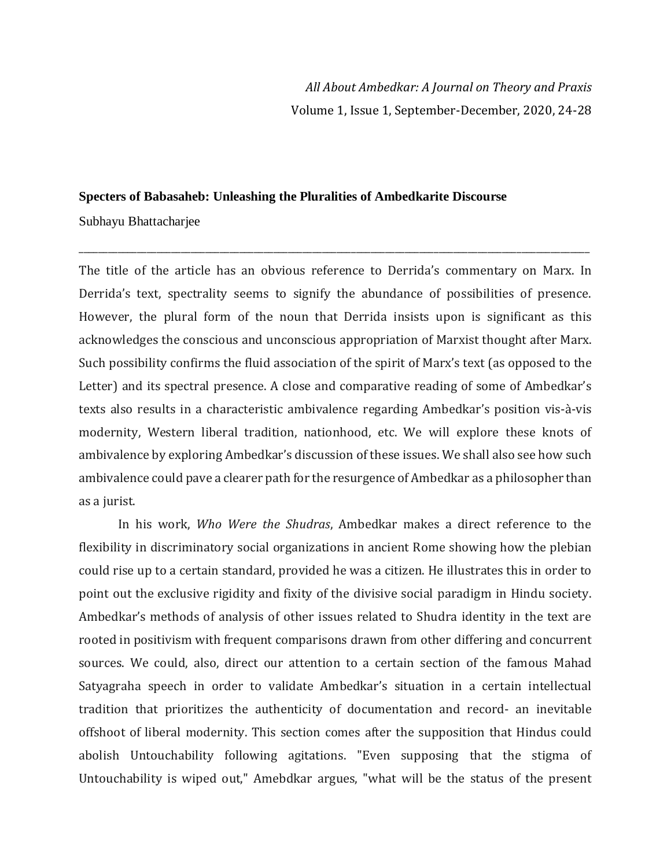## **Specters of Babasaheb: Unleashing the Pluralities of Ambedkarite Discourse**

Subhayu Bhattacharjee

The title of the article has an obvious reference to Derrida's commentary on Marx. In Derrida's text, spectrality seems to signify the abundance of possibilities of presence. However, the plural form of the noun that Derrida insists upon is significant as this acknowledges the conscious and unconscious appropriation of Marxist thought after Marx. Such possibility confirms the fluid association of the spirit of Marx's text (as opposed to the Letter) and its spectral presence. A close and comparative reading of some of Ambedkar's texts also results in a characteristic ambivalence regarding Ambedkar's position vis-à-vis modernity, Western liberal tradition, nationhood, etc. We will explore these knots of ambivalence by exploring Ambedkar's discussion of these issues. We shall also see how such ambivalence could pave a clearer path for the resurgence of Ambedkar as a philosopher than as a jurist.

\_\_\_\_\_\_\_\_\_\_\_\_\_\_\_\_\_\_\_\_\_\_\_\_\_\_\_\_\_\_\_\_\_\_\_\_\_\_\_\_\_\_\_\_\_\_\_\_\_\_\_\_\_\_\_\_\_\_\_\_\_\_\_\_\_\_\_\_\_\_\_\_\_\_\_\_\_\_\_\_\_\_\_\_\_\_\_\_\_\_\_\_\_\_\_\_\_\_\_\_\_\_\_\_\_

In his work, *Who Were the Shudras*, Ambedkar makes a direct reference to the flexibility in discriminatory social organizations in ancient Rome showing how the plebian could rise up to a certain standard, provided he was a citizen. He illustrates this in order to point out the exclusive rigidity and fixity of the divisive social paradigm in Hindu society. Ambedkar's methods of analysis of other issues related to Shudra identity in the text are rooted in positivism with frequent comparisons drawn from other differing and concurrent sources. We could, also, direct our attention to a certain section of the famous Mahad Satyagraha speech in order to validate Ambedkar's situation in a certain intellectual tradition that prioritizes the authenticity of documentation and record- an inevitable offshoot of liberal modernity. This section comes after the supposition that Hindus could abolish Untouchability following agitations. "Even supposing that the stigma of Untouchability is wiped out," Amebdkar argues, "what will be the status of the present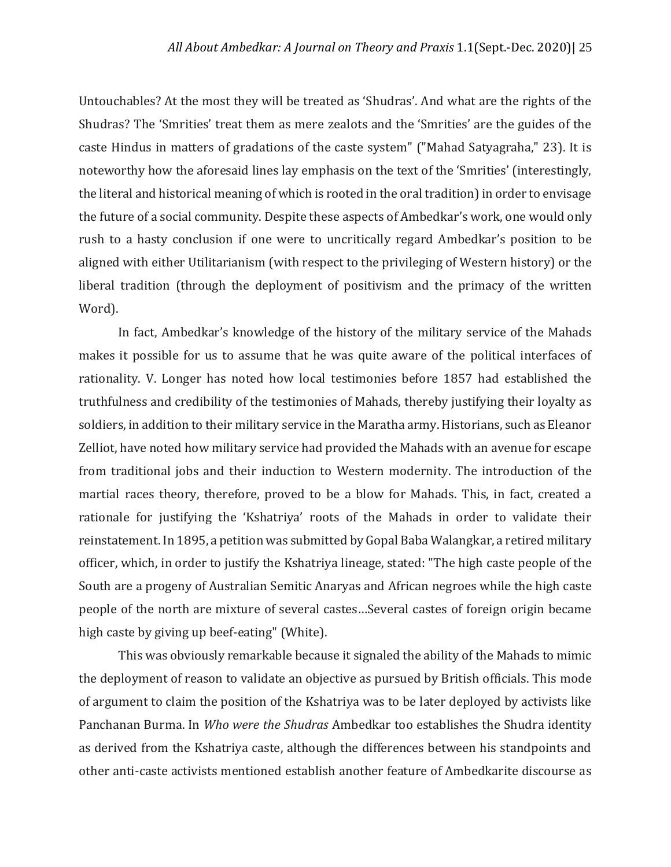Untouchables? At the most they will be treated as 'Shudras'. And what are the rights of the Shudras? The 'Smrities' treat them as mere zealots and the 'Smrities' are the guides of the caste Hindus in matters of gradations of the caste system" ("Mahad Satyagraha," 23). It is noteworthy how the aforesaid lines lay emphasis on the text of the 'Smrities' (interestingly, the literal and historical meaning of which is rooted in the oral tradition) in order to envisage the future of a social community. Despite these aspects of Ambedkar's work, one would only rush to a hasty conclusion if one were to uncritically regard Ambedkar's position to be aligned with either Utilitarianism (with respect to the privileging of Western history) or the liberal tradition (through the deployment of positivism and the primacy of the written Word).

In fact, Ambedkar's knowledge of the history of the military service of the Mahads makes it possible for us to assume that he was quite aware of the political interfaces of rationality. V. Longer has noted how local testimonies before 1857 had established the truthfulness and credibility of the testimonies of Mahads, thereby justifying their loyalty as soldiers, in addition to their military service in the Maratha army. Historians, such as Eleanor Zelliot, have noted how military service had provided the Mahads with an avenue for escape from traditional jobs and their induction to Western modernity. The introduction of the martial races theory, therefore, proved to be a blow for Mahads. This, in fact, created a rationale for justifying the 'Kshatriya' roots of the Mahads in order to validate their reinstatement. In 1895, a petition was submitted by Gopal Baba Walangkar, a retired military officer, which, in order to justify the Kshatriya lineage, stated: "The high caste people of the South are a progeny of Australian Semitic Anaryas and African negroes while the high caste people of the north are mixture of several castes…Several castes of foreign origin became high caste by giving up beef-eating" (White).

This was obviously remarkable because it signaled the ability of the Mahads to mimic the deployment of reason to validate an objective as pursued by British officials. This mode of argument to claim the position of the Kshatriya was to be later deployed by activists like Panchanan Burma. In *Who were the Shudras* Ambedkar too establishes the Shudra identity as derived from the Kshatriya caste, although the differences between his standpoints and other anti-caste activists mentioned establish another feature of Ambedkarite discourse as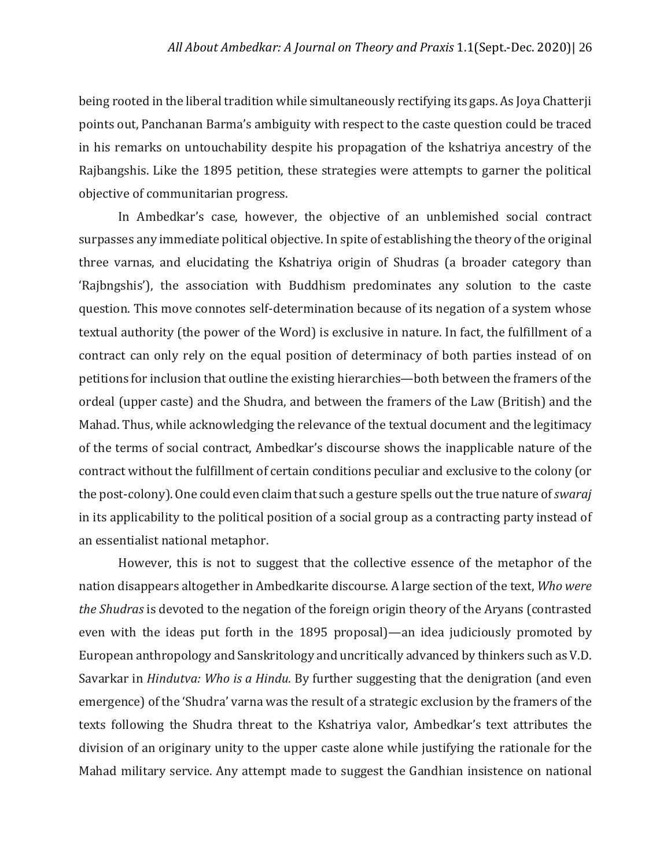being rooted in the liberal tradition while simultaneously rectifying its gaps. As Joya Chatterji points out, Panchanan Barma's ambiguity with respect to the caste question could be traced in his remarks on untouchability despite his propagation of the kshatriya ancestry of the Rajbangshis. Like the 1895 petition, these strategies were attempts to garner the political objective of communitarian progress.

In Ambedkar's case, however, the objective of an unblemished social contract surpasses any immediate political objective. In spite of establishing the theory of the original three varnas, and elucidating the Kshatriya origin of Shudras (a broader category than 'Rajbngshis'), the association with Buddhism predominates any solution to the caste question. This move connotes self-determination because of its negation of a system whose textual authority (the power of the Word) is exclusive in nature. In fact, the fulfillment of a contract can only rely on the equal position of determinacy of both parties instead of on petitions for inclusion that outline the existing hierarchies—both between the framers of the ordeal (upper caste) and the Shudra, and between the framers of the Law (British) and the Mahad. Thus, while acknowledging the relevance of the textual document and the legitimacy of the terms of social contract, Ambedkar's discourse shows the inapplicable nature of the contract without the fulfillment of certain conditions peculiar and exclusive to the colony (or the post-colony).One could even claim that such a gesture spells outthe true nature of*swaraj* in its applicability to the political position of a social group as a contracting party instead of an essentialist national metaphor.

However, this is not to suggest that the collective essence of the metaphor of the nation disappears altogether in Ambedkarite discourse. A large section of the text, *Who were the Shudras* is devoted to the negation of the foreign origin theory of the Aryans (contrasted even with the ideas put forth in the 1895 proposal)—an idea judiciously promoted by European anthropology and Sanskritology and uncritically advanced by thinkers such as V.D. Savarkar in *Hindutva: Who is a Hindu.* By further suggesting that the denigration (and even emergence) of the 'Shudra' varna was the result of a strategic exclusion by the framers of the texts following the Shudra threat to the Kshatriya valor, Ambedkar's text attributes the division of an originary unity to the upper caste alone while justifying the rationale for the Mahad military service. Any attempt made to suggest the Gandhian insistence on national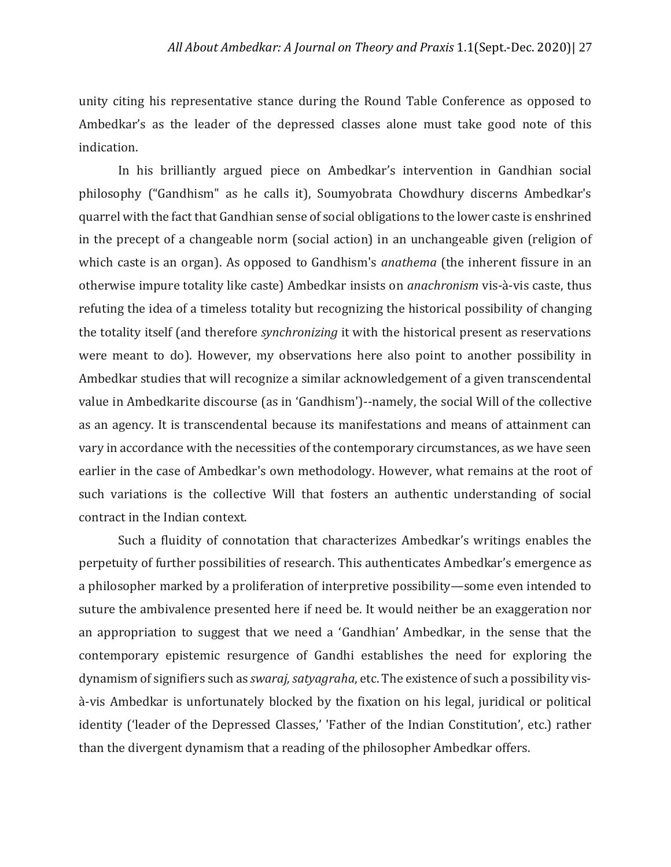unity citing his representative stance during the Round Table Conference as opposed to Ambedkar's as the leader of the depressed classes alone must take good note of this indication.

In his brilliantly argued piece on Ambedkar's intervention in Gandhian social philosophy ("Gandhism" as he calls it), Soumyobrata Chowdhury discerns Ambedkar's quarrel with the fact that Gandhian sense of social obligations to the lower caste is enshrined in the precept of a changeable norm (social action) in an unchangeable given (religion of which caste is an organ). As opposed to Gandhism's *anathema* (the inherent fissure in an otherwise impure totality like caste) Ambedkar insists on *anachronism* vis-à-vis caste, thus refuting the idea of a timeless totality but recognizing the historical possibility of changing the totality itself (and therefore *synchronizing* it with the historical present as reservations were meant to do). However, my observations here also point to another possibility in Ambedkar studies that will recognize a similar acknowledgement of a given transcendental value in Ambedkarite discourse (as in 'Gandhism')--namely, the social Will of the collective as an agency. It is transcendental because its manifestations and means of attainment can vary in accordance with the necessities of the contemporary circumstances, as we have seen earlier in the case of Ambedkar's own methodology. However, what remains at the root of such variations is the collective Will that fosters an authentic understanding of social contract in the Indian context.

Such a fluidity of connotation that characterizes Ambedkar's writings enables the perpetuity of further possibilities of research. This authenticates Ambedkar's emergence as a philosopher marked by a proliferation of interpretive possibility—some even intended to suture the ambivalence presented here if need be. It would neither be an exaggeration nor an appropriation to suggest that we need a 'Gandhian' Ambedkar, in the sense that the contemporary epistemic resurgence of Gandhi establishes the need for exploring the dynamism of signifiers such as *swaraj,satyagraha*, etc. The existence of such a possibility visà-vis Ambedkar is unfortunately blocked by the fixation on his legal, juridical or political identity ('leader of the Depressed Classes,' 'Father of the Indian Constitution', etc.) rather than the divergent dynamism that a reading of the philosopher Ambedkar offers.